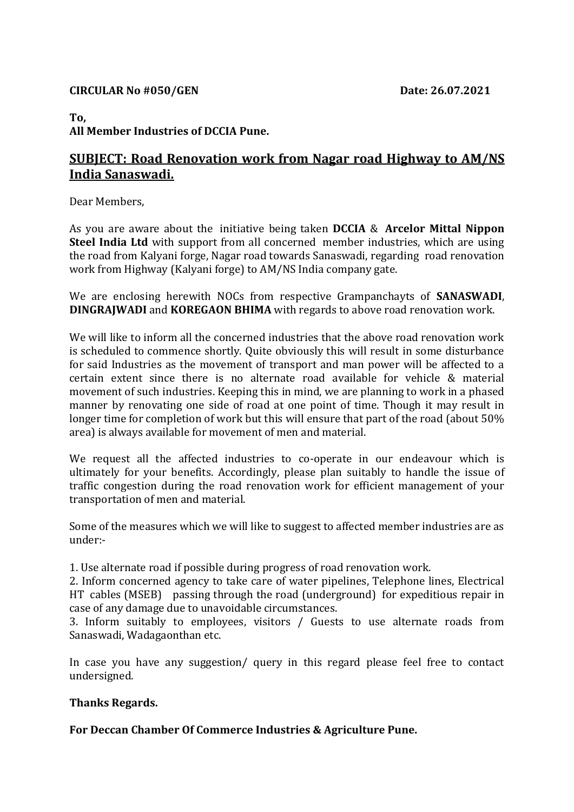## **CIRCULAR No #050/GEN Date: 26.07.2021**

## **To, All Member Industries of DCCIA Pune.**

## **SUBJECT: Road Renovation work from Nagar road Highway to AM/NS India Sanaswadi.**

Dear Members,

As you are aware about the initiative being taken **DCCIA** & **Arcelor Mittal Nippon Steel India Ltd** with support from all concerned member industries, which are using the road from Kalyani forge, Nagar road towards Sanaswadi, regarding road renovation work from Highway (Kalyani forge) to AM/NS India company gate.

We are enclosing herewith NOCs from respective Grampanchayts of **SANASWADI**, **DINGRAJWADI** and **KOREGAON BHIMA** with regards to above road renovation work.

We will like to inform all the concerned industries that the above road renovation work is scheduled to commence shortly. Quite obviously this will result in some disturbance for said Industries as the movement of transport and man power will be affected to a certain extent since there is no alternate road available for vehicle & material movement of such industries. Keeping this in mind, we are planning to work in a phased manner by renovating one side of road at one point of time. Though it may result in longer time for completion of work but this will ensure that part of the road (about 50% area) is always available for movement of men and material.

We request all the affected industries to co-operate in our endeavour which is ultimately for your benefits. Accordingly, please plan suitably to handle the issue of traffic congestion during the road renovation work for efficient management of your transportation of men and material.

Some of the measures which we will like to suggest to affected member industries are as under:-

1. Use alternate road if possible during progress of road renovation work.

2. Inform concerned agency to take care of water pipelines, Telephone lines, Electrical HT cables (MSEB) passing through the road (underground) for expeditious repair in case of any damage due to unavoidable circumstances.

3. Inform suitably to employees, visitors / Guests to use alternate roads from Sanaswadi, Wadagaonthan etc.

In case you have any suggestion/ query in this regard please feel free to contact undersigned.

## **Thanks Regards.**

**For Deccan Chamber Of Commerce Industries & Agriculture Pune.**